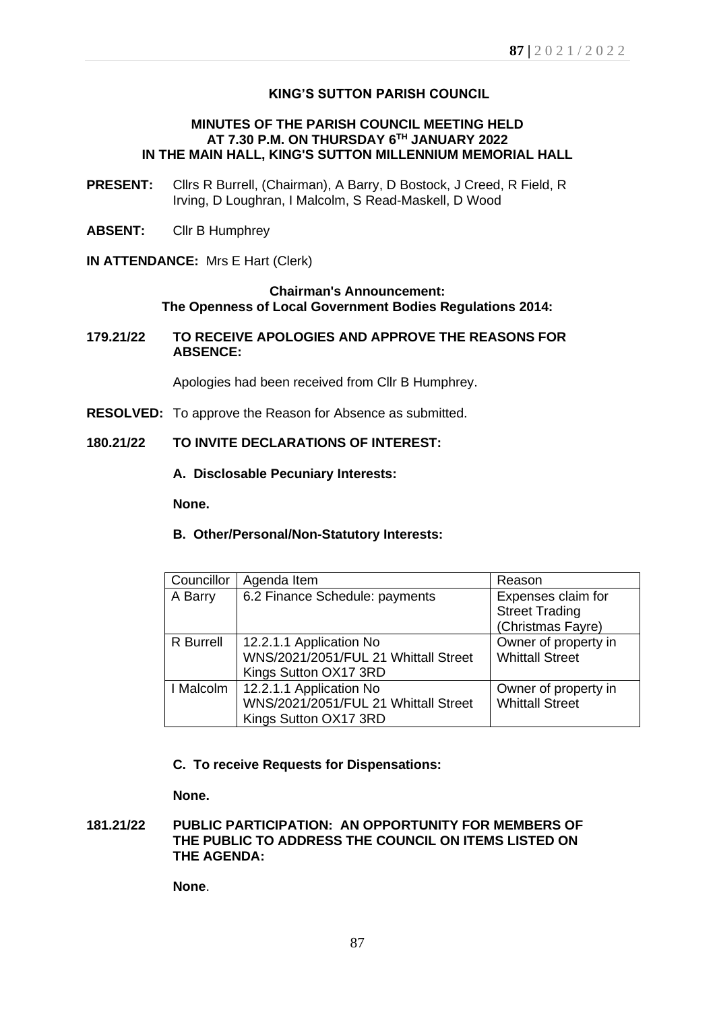# **KING'S SUTTON PARISH COUNCIL**

## **MINUTES OF THE PARISH COUNCIL MEETING HELD AT 7.30 P.M. ON THURSDAY 6 TH JANUARY 2022 IN THE MAIN HALL, KING'S SUTTON MILLENNIUM MEMORIAL HALL**

- **PRESENT:** Cllrs R Burrell, (Chairman), A Barry, D Bostock, J Creed, R Field, R Irving, D Loughran, I Malcolm, S Read-Maskell, D Wood
- **ABSENT:** Cllr B Humphrey
- **IN ATTENDANCE:** Mrs E Hart (Clerk)

## **Chairman's Announcement: The Openness of Local Government Bodies Regulations 2014:**

**179.21/22 TO RECEIVE APOLOGIES AND APPROVE THE REASONS FOR ABSENCE:**

Apologies had been received from Cllr B Humphrey.

**RESOLVED:** To approve the Reason for Absence as submitted.

# **180.21/22 TO INVITE DECLARATIONS OF INTEREST:**

**A. Disclosable Pecuniary Interests:** 

**None.**

**B. Other/Personal/Non-Statutory Interests:**

| Councillor       | Agenda Item                          | Reason                 |
|------------------|--------------------------------------|------------------------|
| A Barry          | 6.2 Finance Schedule: payments       | Expenses claim for     |
|                  |                                      | <b>Street Trading</b>  |
|                  |                                      | (Christmas Fayre)      |
| <b>R</b> Burrell | 12.2.1.1 Application No              | Owner of property in   |
|                  | WNS/2021/2051/FUL 21 Whittall Street | <b>Whittall Street</b> |
|                  | Kings Sutton OX17 3RD                |                        |
| I Malcolm        | 12.2.1.1 Application No              | Owner of property in   |
|                  | WNS/2021/2051/FUL 21 Whittall Street | <b>Whittall Street</b> |
|                  | Kings Sutton OX17 3RD                |                        |

### **C. To receive Requests for Dispensations:**

**None.**

# **181.21/22 PUBLIC PARTICIPATION: AN OPPORTUNITY FOR MEMBERS OF THE PUBLIC TO ADDRESS THE COUNCIL ON ITEMS LISTED ON THE AGENDA:**

**None**.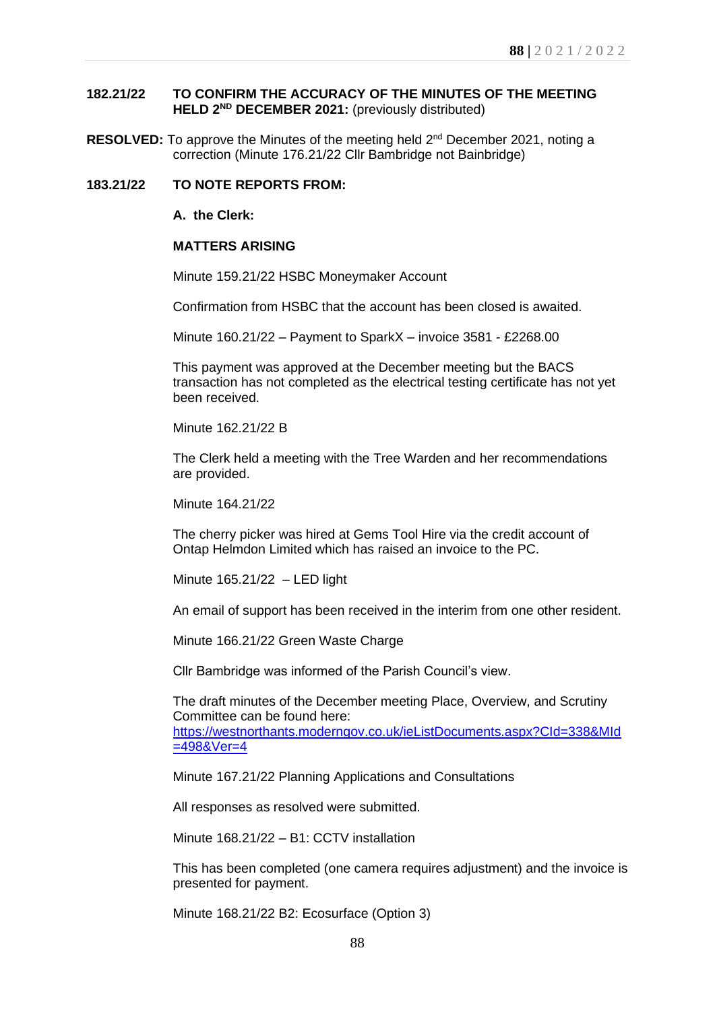# **182.21/22 TO CONFIRM THE ACCURACY OF THE MINUTES OF THE MEETING HELD 2 ND DECEMBER 2021:** (previously distributed)

RESOLVED: To approve the Minutes of the meeting held 2<sup>nd</sup> December 2021, noting a correction (Minute 176.21/22 Cllr Bambridge not Bainbridge)

### **183.21/22 TO NOTE REPORTS FROM:**

#### **A. the Clerk:**

### **MATTERS ARISING**

Minute 159.21/22 HSBC Moneymaker Account

Confirmation from HSBC that the account has been closed is awaited.

Minute 160.21/22 – Payment to SparkX – invoice 3581 - £2268.00

This payment was approved at the December meeting but the BACS transaction has not completed as the electrical testing certificate has not yet been received.

Minute 162.21/22 B

The Clerk held a meeting with the Tree Warden and her recommendations are provided.

Minute 164.21/22

The cherry picker was hired at Gems Tool Hire via the credit account of Ontap Helmdon Limited which has raised an invoice to the PC.

Minute 165.21/22 – LED light

An email of support has been received in the interim from one other resident.

Minute 166.21/22 Green Waste Charge

Cllr Bambridge was informed of the Parish Council's view.

The draft minutes of the December meeting Place, Overview, and Scrutiny Committee can be found here: [https://westnorthants.moderngov.co.uk/ieListDocuments.aspx?CId=338&MId](https://westnorthants.moderngov.co.uk/ieListDocuments.aspx?CId=338&MId=498&Ver=4) [=498&Ver=4](https://westnorthants.moderngov.co.uk/ieListDocuments.aspx?CId=338&MId=498&Ver=4)

Minute 167.21/22 Planning Applications and Consultations

All responses as resolved were submitted.

Minute 168.21/22 – B1: CCTV installation

This has been completed (one camera requires adjustment) and the invoice is presented for payment.

Minute 168.21/22 B2: Ecosurface (Option 3)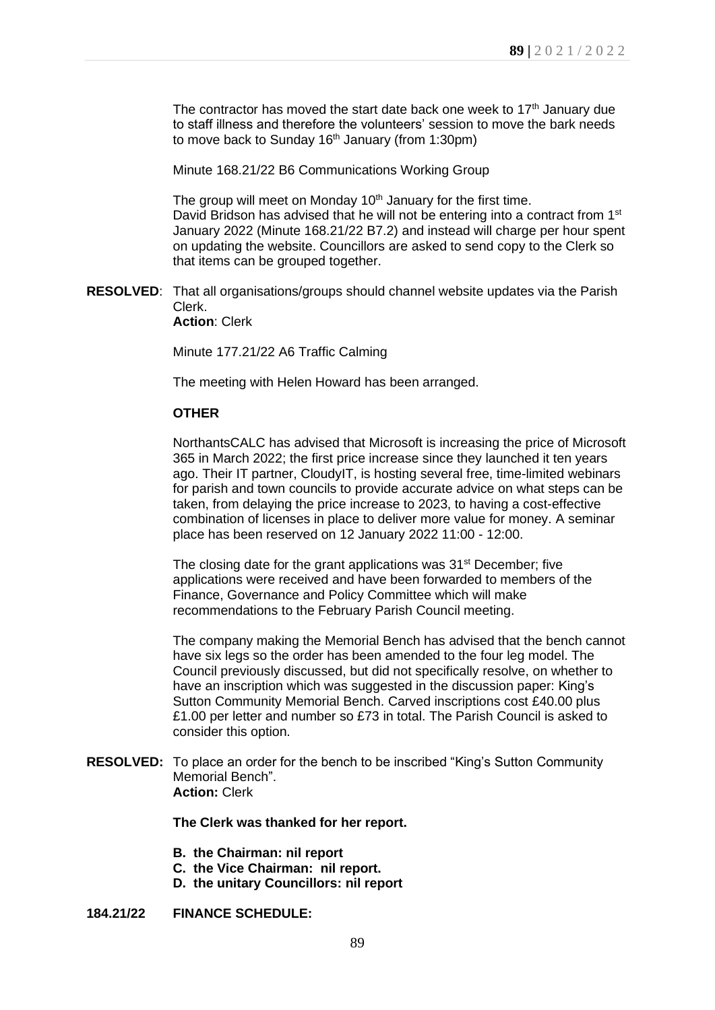The contractor has moved the start date back one week to 17<sup>th</sup> January due to staff illness and therefore the volunteers' session to move the bark needs to move back to Sunday 16<sup>th</sup> January (from 1:30pm)

Minute 168.21/22 B6 Communications Working Group

The group will meet on Monday  $10<sup>th</sup>$  January for the first time. David Bridson has advised that he will not be entering into a contract from 1<sup>st</sup> January 2022 (Minute 168.21/22 B7.2) and instead will charge per hour spent on updating the website. Councillors are asked to send copy to the Clerk so that items can be grouped together.

**RESOLVED**: That all organisations/groups should channel website updates via the Parish Clerk.

**Action**: Clerk

Minute 177.21/22 A6 Traffic Calming

The meeting with Helen Howard has been arranged.

### **OTHER**

NorthantsCALC has advised that Microsoft is increasing the price of Microsoft 365 in March 2022; the first price increase since they launched it ten years ago. Their IT partner, CloudyIT, is hosting several free, time-limited webinars for parish and town councils to provide accurate advice on what steps can be taken, from delaying the price increase to 2023, to having a cost-effective combination of licenses in place to deliver more value for money. A seminar place has been reserved on 12 January 2022 11:00 - 12:00.

The closing date for the grant applications was 31<sup>st</sup> December; five applications were received and have been forwarded to members of the Finance, Governance and Policy Committee which will make recommendations to the February Parish Council meeting.

The company making the Memorial Bench has advised that the bench cannot have six legs so the order has been amended to the four leg model. The Council previously discussed, but did not specifically resolve, on whether to have an inscription which was suggested in the discussion paper: King's Sutton Community Memorial Bench. Carved inscriptions cost £40.00 plus £1.00 per letter and number so £73 in total. The Parish Council is asked to consider this option.

**RESOLVED:** To place an order for the bench to be inscribed "King's Sutton Community Memorial Bench". **Action:** Clerk

**The Clerk was thanked for her report.**

- **B. the Chairman: nil report**
- **C. the Vice Chairman: nil report.**
- **D. the unitary Councillors: nil report**

# **184.21/22 FINANCE SCHEDULE:**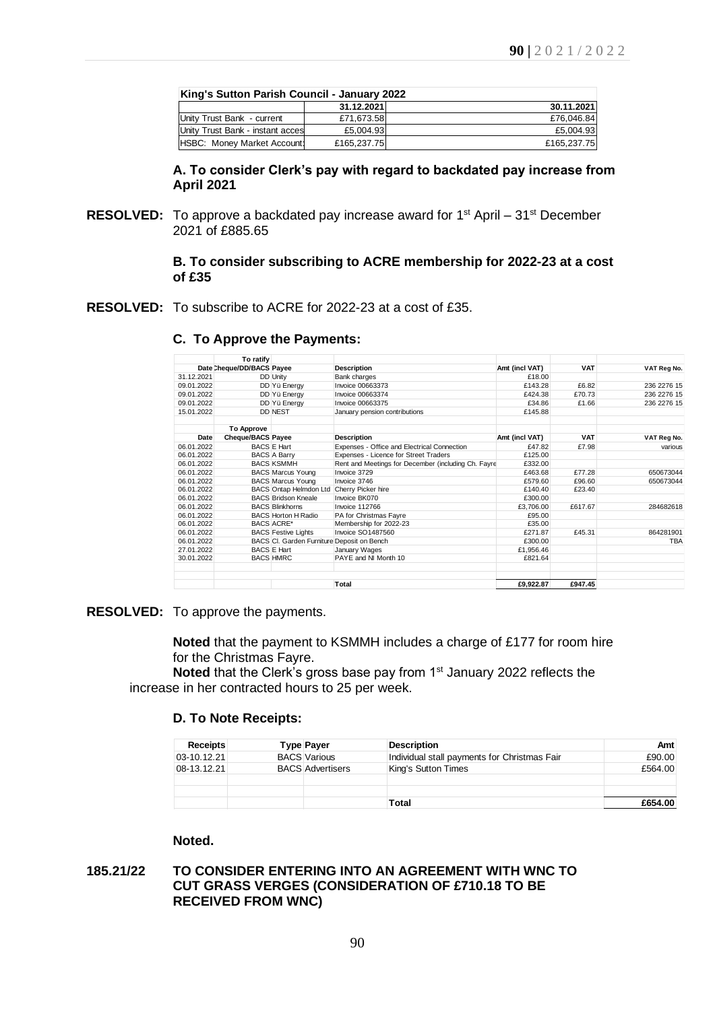| King's Sutton Parish Council - January 2022 |             |             |  |  |  |  |
|---------------------------------------------|-------------|-------------|--|--|--|--|
|                                             | 31.12.2021  | 30.11.2021  |  |  |  |  |
| Unity Trust Bank - current                  | £71.673.58  | £76,046.84  |  |  |  |  |
| Unity Trust Bank - instant acces            | £5.004.93   | £5,004.93   |  |  |  |  |
| HSBC: Money Market Account:                 | £165,237.75 | £165,237.75 |  |  |  |  |

### **A. To consider Clerk's pay with regard to backdated pay increase from April 2021**

**RESOLVED:** To approve a backdated pay increase award for 1<sup>st</sup> April – 31<sup>st</sup> December 2021 of £885.65

## **B. To consider subscribing to ACRE membership for 2022-23 at a cost of £35**

**RESOLVED:** To subscribe to ACRE for 2022-23 at a cost of £35.

|            | To ratify                 |                                            |                                                     |                |            |             |
|------------|---------------------------|--------------------------------------------|-----------------------------------------------------|----------------|------------|-------------|
|            | Date Cheque/DD/BACS Payee |                                            | Description                                         | Amt (incl VAT) | <b>VAT</b> | VAT Reg No. |
| 31.12.2021 |                           | <b>DD</b> Unity                            | Bank charges                                        | £18.00         |            |             |
| 09.01.2022 |                           | DD Yü Energy                               | Invoice 00663373                                    | £143.28        | £6.82      | 236 2276 15 |
| 09.01.2022 |                           | DD Yü Energy                               | <b>Invoice 00663374</b>                             | £424.38        | £70.73     | 236 2276 15 |
| 09.01.2022 |                           | DD Yü Energy                               | Invoice 00663375                                    | £34.86         | £1.66      | 236 2276 15 |
| 15.01.2022 |                           | <b>DD NEST</b>                             | January pension contributions                       | £145.88        |            |             |
|            | <b>To Approve</b>         |                                            |                                                     |                |            |             |
| Date       | <b>Cheque/BACS Payee</b>  |                                            | <b>Description</b>                                  | Amt (incl VAT) | <b>VAT</b> | VAT Reg No. |
| 06.01.2022 |                           | <b>BACS E Hart</b>                         | Expenses - Office and Electrical Connection         | £47.82         | £7.98      | various     |
| 06.01.2022 |                           | <b>BACS A Barry</b>                        | Expenses - Licence for Street Traders               | £125.00        |            |             |
| 06.01.2022 |                           | <b>BACS KSMMH</b>                          | Rent and Meetings for December (including Ch. Fayre | £332.00        |            |             |
| 06.01.2022 |                           | <b>BACS Marcus Young</b>                   | Invoice 3729                                        | £463.68        | £77.28     | 650673044   |
| 06.01.2022 |                           | <b>BACS Marcus Young</b>                   | Invoice 3746                                        | £579.60        | £96.60     | 650673044   |
| 06.01.2022 |                           | BACS Ontap Helmdon Ltd                     | Cherry Picker hire                                  | £140.40        | £23.40     |             |
| 06.01.2022 |                           | <b>BACS Bridson Kneale</b>                 | Invoice BK070                                       | £300.00        |            |             |
| 06.01.2022 |                           | <b>BACS Blinkhorns</b>                     | Invoice 112766                                      | £3.706.00      | £617.67    | 284682618   |
| 06.01.2022 |                           | <b>BACS Horton H Radio</b>                 | PA for Christmas Fayre                              | £95.00         |            |             |
| 06.01.2022 |                           | <b>BACS ACRE*</b>                          | Membership for 2022-23                              | £35.00         |            |             |
| 06.01.2022 |                           | <b>BACS Festive Lights</b>                 | <b>Invoice SO1487560</b>                            | £271.87        | £45.31     | 864281901   |
| 06.01.2022 |                           | BACS CI. Garden Furniture Deposit on Bench |                                                     | £300.00        |            | <b>TBA</b>  |
| 27.01.2022 |                           | <b>BACS E Hart</b>                         | January Wages                                       | £1.956.46      |            |             |
| 30.01.2022 |                           | <b>BACS HMRC</b>                           | PAYE and NI Month 10                                | £821.64        |            |             |
|            |                           |                                            | Total                                               | £9,922.87      | £947.45    |             |

### **C. To Approve the Payments:**

**RESOLVED:** To approve the payments.

**Noted** that the payment to KSMMH includes a charge of £177 for room hire for the Christmas Fayre.

**Noted** that the Clerk's gross base pay from 1<sup>st</sup> January 2022 reflects the increase in her contracted hours to 25 per week.

# **D. To Note Receipts:**

| <b>Receipts</b>   | <b>Type Payer</b>       | <b>Description</b>                           | Amt     |
|-------------------|-------------------------|----------------------------------------------|---------|
| $ 03 - 10.12.21 $ | <b>BACS Various</b>     | Individual stall payments for Christmas Fair | £90.00  |
| $08-13.12.21$     | <b>BACS Advertisers</b> | King's Sutton Times                          | £564.00 |
|                   |                         |                                              |         |
|                   |                         |                                              |         |
|                   |                         | Total                                        | £654.00 |

# **Noted.**

## **185.21/22 TO CONSIDER ENTERING INTO AN AGREEMENT WITH WNC TO CUT GRASS VERGES (CONSIDERATION OF £710.18 TO BE RECEIVED FROM WNC)**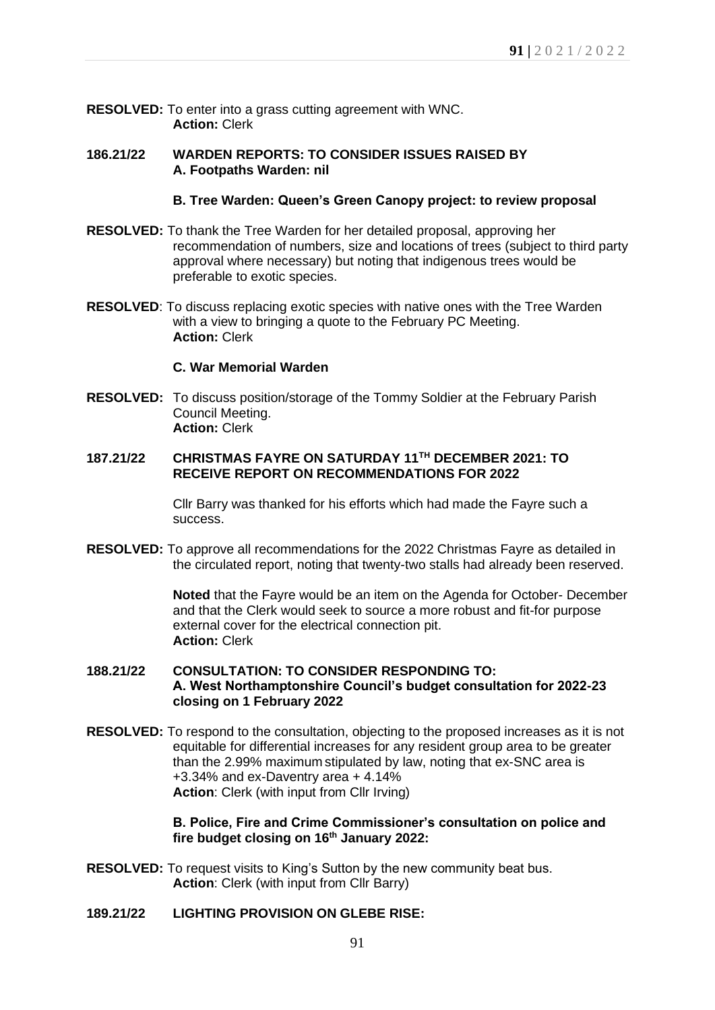**RESOLVED:** To enter into a grass cutting agreement with WNC. **Action:** Clerk

## **186.21/22 WARDEN REPORTS: TO CONSIDER ISSUES RAISED BY A. Footpaths Warden: nil**

### **B. Tree Warden: Queen's Green Canopy project: to review proposal**

- **RESOLVED:** To thank the Tree Warden for her detailed proposal, approving her recommendation of numbers, size and locations of trees (subject to third party approval where necessary) but noting that indigenous trees would be preferable to exotic species.
- **RESOLVED**: To discuss replacing exotic species with native ones with the Tree Warden with a view to bringing a quote to the February PC Meeting. **Action:** Clerk

### **C. War Memorial Warden**

**RESOLVED:** To discuss position/storage of the Tommy Soldier at the February Parish Council Meeting. **Action:** Clerk

## **187.21/22 CHRISTMAS FAYRE ON SATURDAY 11TH DECEMBER 2021: TO RECEIVE REPORT ON RECOMMENDATIONS FOR 2022**

Cllr Barry was thanked for his efforts which had made the Fayre such a success.

**RESOLVED:** To approve all recommendations for the 2022 Christmas Fayre as detailed in the circulated report, noting that twenty-two stalls had already been reserved.

> **Noted** that the Fayre would be an item on the Agenda for October- December and that the Clerk would seek to source a more robust and fit-for purpose external cover for the electrical connection pit. **Action:** Clerk

## **188.21/22 CONSULTATION: TO CONSIDER RESPONDING TO: A. West Northamptonshire Council's budget consultation for 2022-23 closing on 1 February 2022**

**RESOLVED:** To respond to the consultation, objecting to the proposed increases as it is not equitable for differential increases for any resident group area to be greater than the 2.99% maximum stipulated by law, noting that ex-SNC area is +3.34% and ex-Daventry area + 4.14% **Action**: Clerk (with input from Cllr Irving)

> **B. Police, Fire and Crime Commissioner's consultation on police and fire budget closing on 16th January 2022:**

**RESOLVED:** To request visits to King's Sutton by the new community beat bus. **Action**: Clerk (with input from Cllr Barry)

## **189.21/22 LIGHTING PROVISION ON GLEBE RISE:**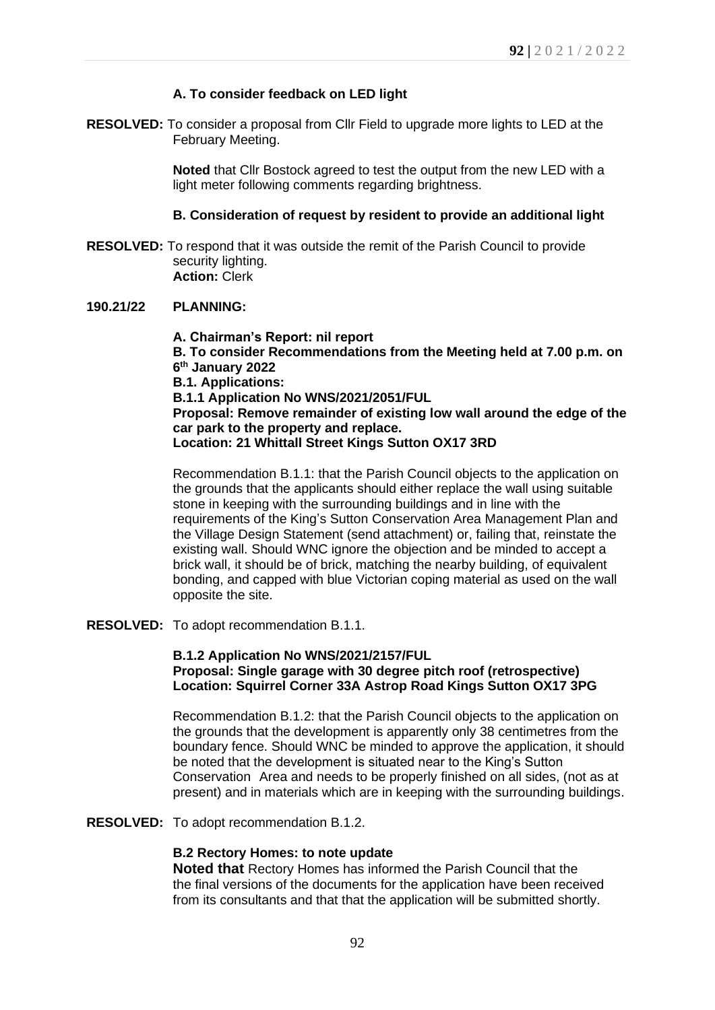# **A. To consider feedback on LED light**

**RESOLVED:** To consider a proposal from Cllr Field to upgrade more lights to LED at the February Meeting.

> **Noted** that Cllr Bostock agreed to test the output from the new LED with a light meter following comments regarding brightness.

### **B. Consideration of request by resident to provide an additional light**

**RESOLVED:** To respond that it was outside the remit of the Parish Council to provide security lighting. **Action:** Clerk

### **190.21/22 PLANNING:**

**A. Chairman's Report: nil report B. To consider Recommendations from the Meeting held at 7.00 p.m. on 6 th January 2022 B.1. Applications: B.1.1 Application No WNS/2021/2051/FUL Proposal: Remove remainder of existing low wall around the edge of the car park to the property and replace. Location: 21 Whittall Street Kings Sutton OX17 3RD**

Recommendation B.1.1: that the Parish Council objects to the application on the grounds that the applicants should either replace the wall using suitable stone in keeping with the surrounding buildings and in line with the requirements of the King's Sutton Conservation Area Management Plan and the Village Design Statement (send attachment) or, failing that, reinstate the existing wall. Should WNC ignore the objection and be minded to accept a brick wall, it should be of brick, matching the nearby building, of equivalent bonding, and capped with blue Victorian coping material as used on the wall opposite the site.

**RESOLVED:** To adopt recommendation B.1.1.

## **B.1.2 Application No WNS/2021/2157/FUL Proposal: Single garage with 30 degree pitch roof (retrospective) Location: Squirrel Corner 33A Astrop Road Kings Sutton OX17 3PG**

Recommendation B.1.2: that the Parish Council objects to the application on the grounds that the development is apparently only 38 centimetres from the boundary fence. Should WNC be minded to approve the application, it should be noted that the development is situated near to the King's Sutton Conservation Area and needs to be properly finished on all sides, (not as at present) and in materials which are in keeping with the surrounding buildings.

**RESOLVED:** To adopt recommendation B.1.2.

# **B.2 Rectory Homes: to note update**

**Noted that** Rectory Homes has informed the Parish Council that the the final versions of the documents for the application have been received from its consultants and that that the application will be submitted shortly.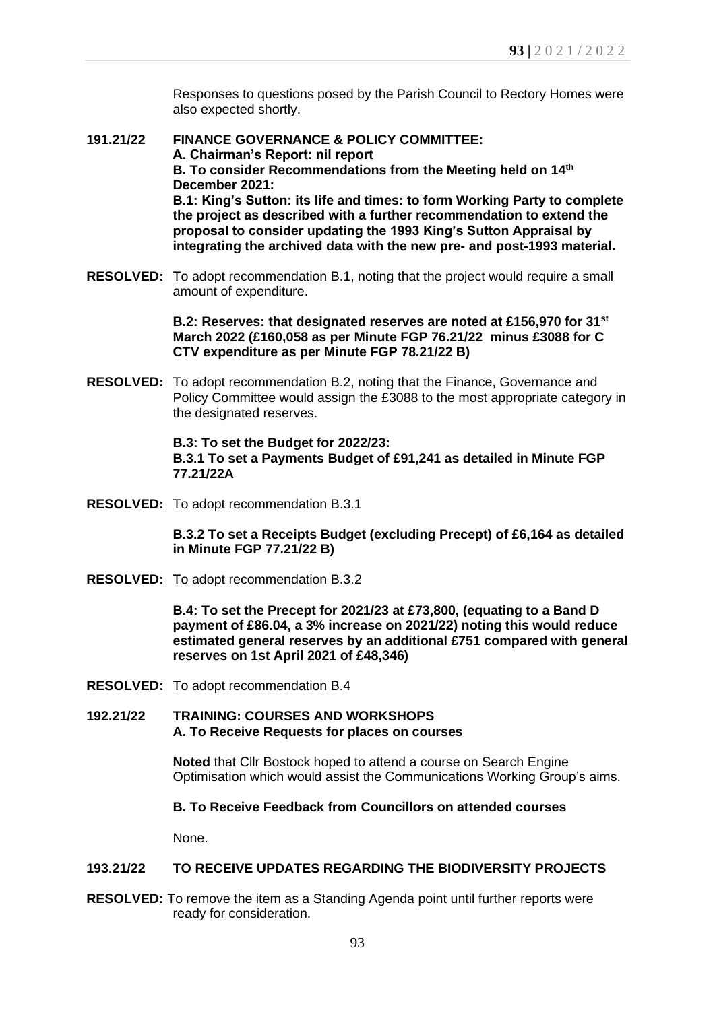Responses to questions posed by the Parish Council to Rectory Homes were also expected shortly.

- **191.21/22 FINANCE GOVERNANCE & POLICY COMMITTEE: A. Chairman's Report: nil report B. To consider Recommendations from the Meeting held on 14 th December 2021: B.1: King's Sutton: its life and times: to form Working Party to complete the project as described with a further recommendation to extend the proposal to consider updating the 1993 King's Sutton Appraisal by integrating the archived data with the new pre- and post-1993 material.**
- **RESOLVED:** To adopt recommendation B.1, noting that the project would require a small amount of expenditure.

**B.2: Reserves: that designated reserves are noted at £156,970 for 31st March 2022 (£160,058 as per Minute FGP 76.21/22 minus £3088 for C CTV expenditure as per Minute FGP 78.21/22 B)**

**RESOLVED:** To adopt recommendation B.2, noting that the Finance, Governance and Policy Committee would assign the £3088 to the most appropriate category in the designated reserves.

> **B.3: To set the Budget for 2022/23: B.3.1 To set a Payments Budget of £91,241 as detailed in Minute FGP 77.21/22A**

**RESOLVED:** To adopt recommendation B.3.1

**B.3.2 To set a Receipts Budget (excluding Precept) of £6,164 as detailed in Minute FGP 77.21/22 B)**

**RESOLVED:** To adopt recommendation B.3.2

**B.4: To set the Precept for 2021/23 at £73,800, (equating to a Band D payment of £86.04, a 3% increase on 2021/22) noting this would reduce estimated general reserves by an additional £751 compared with general reserves on 1st April 2021 of £48,346)**

- **RESOLVED:** To adopt recommendation B.4
- **192.21/22 TRAINING: COURSES AND WORKSHOPS A. To Receive Requests for places on courses**

**Noted** that Cllr Bostock hoped to attend a course on Search Engine Optimisation which would assist the Communications Working Group's aims.

# **B. To Receive Feedback from Councillors on attended courses**

None.

# **193.21/22 TO RECEIVE UPDATES REGARDING THE BIODIVERSITY PROJECTS**

**RESOLVED:** To remove the item as a Standing Agenda point until further reports were ready for consideration.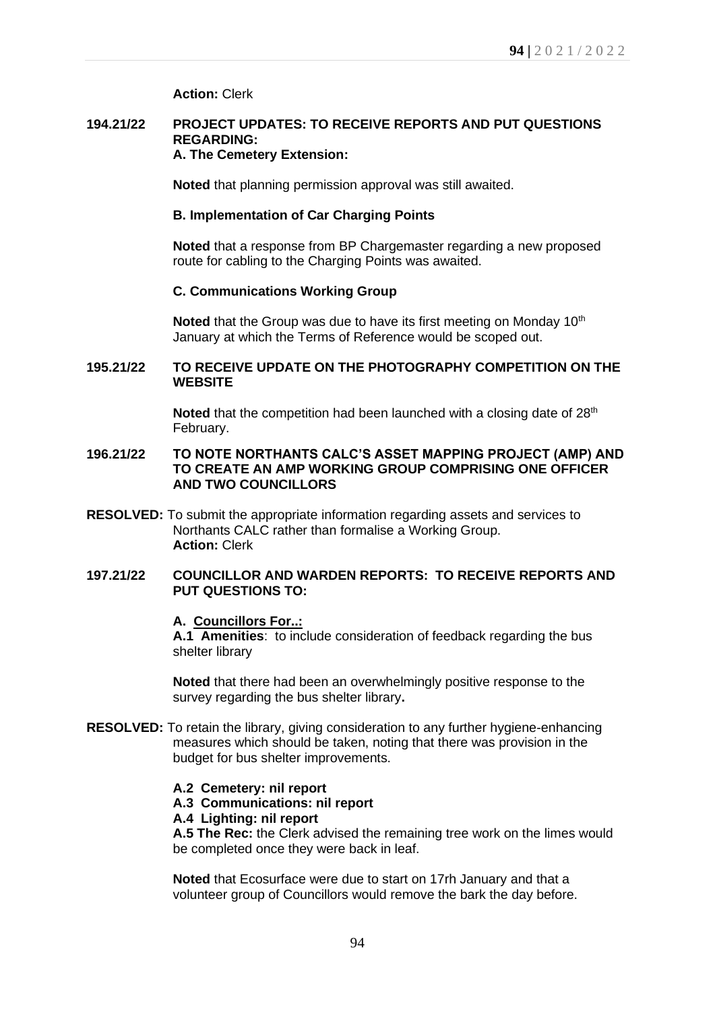**Action:** Clerk

### **194.21/22 PROJECT UPDATES: TO RECEIVE REPORTS AND PUT QUESTIONS REGARDING: A. The Cemetery Extension:**

**Noted** that planning permission approval was still awaited.

# **B. Implementation of Car Charging Points**

**Noted** that a response from BP Chargemaster regarding a new proposed route for cabling to the Charging Points was awaited.

## **C. Communications Working Group**

**Noted** that the Group was due to have its first meeting on Monday 10<sup>th</sup> January at which the Terms of Reference would be scoped out.

## **195.21/22 TO RECEIVE UPDATE ON THE PHOTOGRAPHY COMPETITION ON THE WEBSITE**

**Noted** that the competition had been launched with a closing date of 28<sup>th</sup> February.

# **196.21/22 TO NOTE NORTHANTS CALC'S ASSET MAPPING PROJECT (AMP) AND TO CREATE AN AMP WORKING GROUP COMPRISING ONE OFFICER AND TWO COUNCILLORS**

**RESOLVED:** To submit the appropriate information regarding assets and services to Northants CALC rather than formalise a Working Group. **Action:** Clerk

# **197.21/22 COUNCILLOR AND WARDEN REPORTS: TO RECEIVE REPORTS AND PUT QUESTIONS TO:**

### **A. Councillors For..:**

**A.1 Amenities**: to include consideration of feedback regarding the bus shelter library

**Noted** that there had been an overwhelmingly positive response to the survey regarding the bus shelter library**.**

- **RESOLVED:** To retain the library, giving consideration to any further hygiene-enhancing measures which should be taken, noting that there was provision in the budget for bus shelter improvements.
	- **A.2 Cemetery: nil report**
	- **A.3 Communications: nil report**
	- **A.4 Lighting: nil report**

**A.5 The Rec:** the Clerk advised the remaining tree work on the limes would be completed once they were back in leaf.

**Noted** that Ecosurface were due to start on 17rh January and that a volunteer group of Councillors would remove the bark the day before.